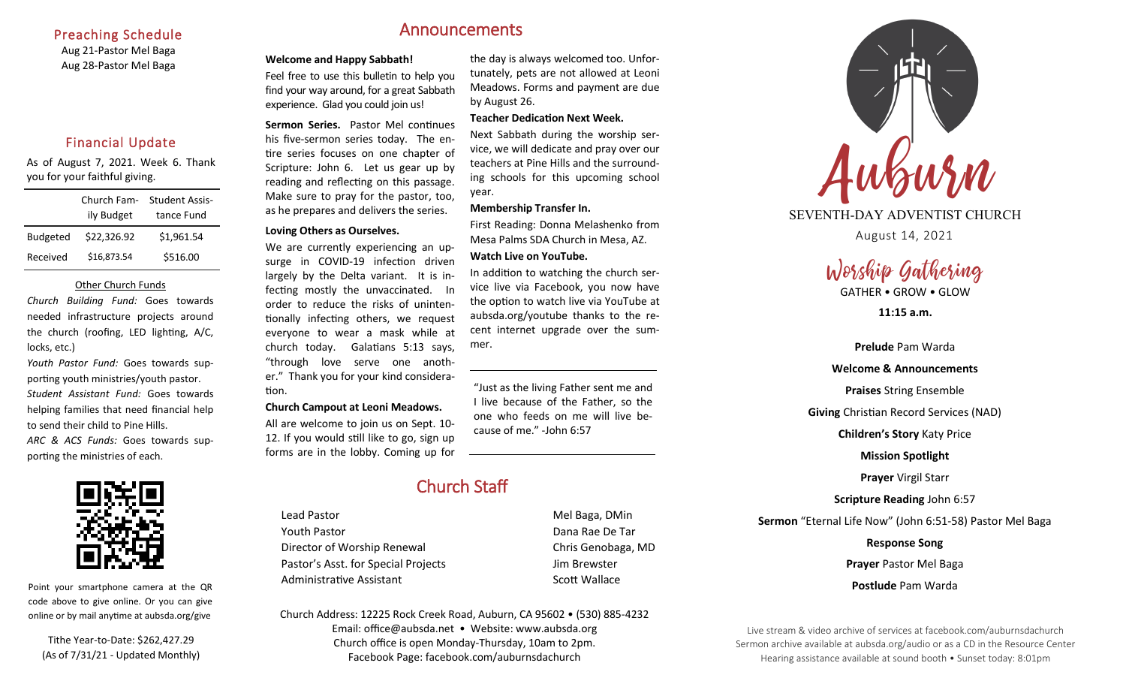#### Preaching Schedule

Aug 21-Pastor Mel Baga Aug 28-Pastor Mel Baga

# Financial Update

As of August 7, 2021. Week 6. Thank you for your faithful giving.

|                 | Church Fam- | <b>Student Assis-</b> |
|-----------------|-------------|-----------------------|
|                 | ily Budget  | tance Fund            |
| <b>Budgeted</b> | \$22,326.92 | \$1,961.54            |
| Received        | \$16,873.54 | \$516.00              |

#### Other Church Funds

*Church Building Fund:* Goes towards needed infrastructure projects around the church (roofing, LED lighting, A/C, locks, etc.)

*Youth Pastor Fund:* Goes towards supporting youth ministries/youth pastor. *Student Assistant Fund:* Goes towards helping families that need financial help to send their child to Pine Hills. *ARC & ACS Funds:* Goes towards supporting the ministries of each.



Point your smartphone camera at the QR code above to give online. Or you can give online or by mail anytime at aubsda.org/give

Tithe Year-to-Date: \$262,427.29 (As of 7/31/21 - Updated Monthly)

# Announcements

#### **Welcome and Happy Sabbath!**

Feel free to use this bulletin to help you find your way around, for a great Sabbath experience. Glad you could join us!

**Sermon Series.** Pastor Mel continues his five-sermon series today. The entire series focuses on one chapter of Scripture: John 6. Let us gear up by reading and reflecting on this passage. Make sure to pray for the pastor, too, as he prepares and delivers the series.

#### **Loving Others as Ourselves.**

We are currently experiencing an upsurge in COVID-19 infection driven largely by the Delta variant. It is infecting mostly the unvaccinated. In order to reduce the risks of unintentionally infecting others, we request everyone to wear a mask while at church today. Galatians 5:13 says, "through love serve one another." Thank you for your kind consideration.

#### **Church Campout at Leoni Meadows.**

All are welcome to join us on Sept. 10- 12. If you would still like to go, sign up forms are in the lobby. Coming up for the day is always welcomed too. Unfortunately, pets are not allowed at Leoni Meadows. Forms and payment are due by August 26.

#### **Teacher Dedication Next Week.**

Next Sabbath during the worship service, we will dedicate and pray over our teachers at Pine Hills and the surrounding schools for this upcoming school year.

#### **Membership Transfer In.**

First Reading: Donna Melashenko from Mesa Palms SDA Church in Mesa, AZ. **Watch Live on YouTube.** 

In addition to watching the church service live via Facebook, you now have the option to watch live via YouTube at aubsda.org/youtube thanks to the recent internet upgrade over the summer.

"Just as the living Father sent me and I live because of the Father, so the one who feeds on me will live because of me." -John 6:57

# Church Staff

Lead Pastor **Mel Baga**, DMin Youth Pastor Dana Rae De Tar Director of Worship Renewal Chris Genobaga, MD Pastor's Asst. for Special Projects Fig. 3.1 Jim Brewster Administrative Assistant **Scott Wallace** Scott Wallace

Church Address: 12225 Rock Creek Road, Auburn, CA 95602 • (530) 885-4232 Email: office@aubsda.net • Website: www.aubsda.org Church office is open Monday-Thursday, 10am to 2pm. Facebook Page: facebook.com/auburnsdachurch



# SEVENTH-DAY ADVENTIST CHURCH

August 14, 2021

# Worship Gathering

GATHER • GROW • GLOW

**11:15 a.m.**

**Prelude** Pam Warda **Welcome & Announcements Praises** String Ensemble **Giving** Christian Record Services (NAD) **Children's Story** Katy Price **Mission Spotlight Prayer** Virgil Starr **Scripture Reading** John 6:57 **Sermon** "Eternal Life Now" (John 6:51-58) Pastor Mel Baga **Response Song Prayer** Pastor Mel Baga **Postlude** Pam Warda

Live stream & video archive of services at facebook.com/auburnsdachurch Sermon archive available at aubsda.org/audio or as a CD in the Resource Center Hearing assistance available at sound booth • Sunset today: 8:01pm